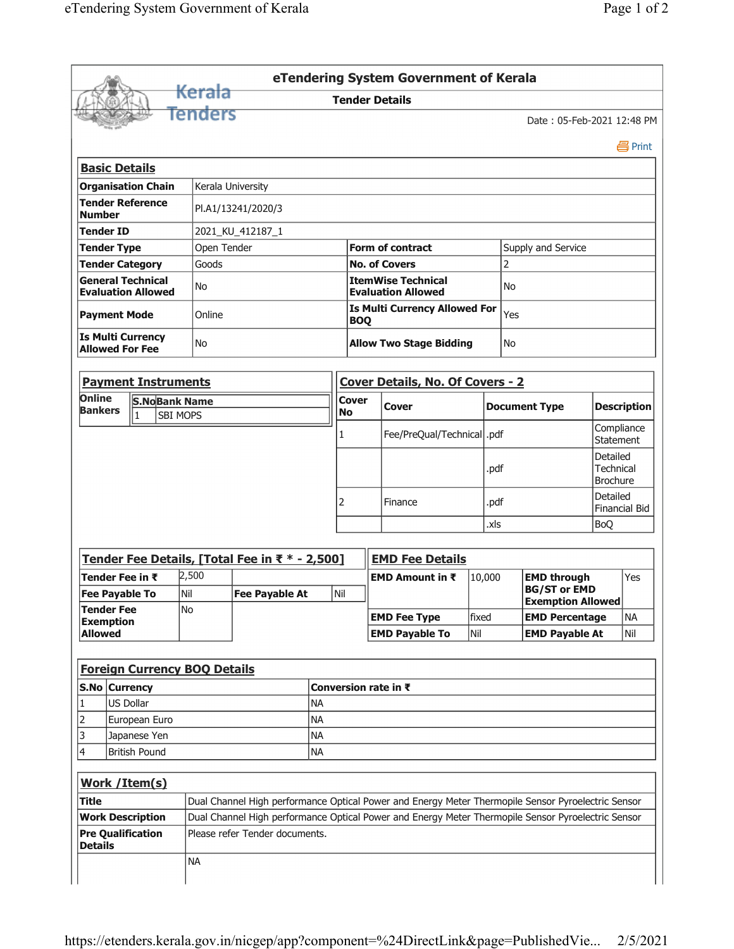|                                                                |                          |                            |  |                                     |                                                                                                    |                         |                                               |                                                        | eTendering System Government of Kerala  |                    |      |                                                 |                         |                                                 |  |  |  |
|----------------------------------------------------------------|--------------------------|----------------------------|--|-------------------------------------|----------------------------------------------------------------------------------------------------|-------------------------|-----------------------------------------------|--------------------------------------------------------|-----------------------------------------|--------------------|------|-------------------------------------------------|-------------------------|-------------------------------------------------|--|--|--|
|                                                                |                          |                            |  | Kerala                              |                                                                                                    |                         |                                               |                                                        | <b>Tender Details</b>                   |                    |      |                                                 |                         |                                                 |  |  |  |
|                                                                |                          |                            |  | Tenders                             |                                                                                                    |                         |                                               |                                                        |                                         |                    |      | Date: 05-Feb-2021 12:48 PM                      |                         |                                                 |  |  |  |
|                                                                |                          |                            |  |                                     |                                                                                                    |                         |                                               |                                                        |                                         |                    |      |                                                 |                         | 昌 Print                                         |  |  |  |
| <b>Basic Details</b>                                           |                          |                            |  |                                     |                                                                                                    |                         |                                               |                                                        |                                         |                    |      |                                                 |                         |                                                 |  |  |  |
| <b>Organisation Chain</b><br>Kerala University                 |                          |                            |  |                                     |                                                                                                    |                         |                                               |                                                        |                                         |                    |      |                                                 |                         |                                                 |  |  |  |
| <b>Tender Reference</b><br>PI.A1/13241/2020/3<br><b>Number</b> |                          |                            |  |                                     |                                                                                                    |                         |                                               |                                                        |                                         |                    |      |                                                 |                         |                                                 |  |  |  |
| <b>Tender ID</b>                                               |                          |                            |  |                                     | 2021_KU_412187_1                                                                                   |                         |                                               |                                                        |                                         |                    |      |                                                 |                         |                                                 |  |  |  |
| <b>Tender Type</b>                                             |                          |                            |  | Open Tender                         |                                                                                                    |                         | <b>Form of contract</b><br>Supply and Service |                                                        |                                         |                    |      |                                                 |                         |                                                 |  |  |  |
| <b>Tender Category</b>                                         |                          |                            |  | Goods                               |                                                                                                    |                         |                                               | <b>No. of Covers</b>                                   |                                         |                    | 2    |                                                 |                         |                                                 |  |  |  |
| <b>General Technical</b><br><b>Evaluation Allowed</b>          |                          |                            |  | No                                  |                                                                                                    |                         |                                               | <b>ItemWise Technical</b><br><b>Evaluation Allowed</b> |                                         |                    |      | No                                              |                         |                                                 |  |  |  |
| <b>Payment Mode</b>                                            |                          |                            |  | Online                              |                                                                                                    |                         |                                               | <b>BOQ</b>                                             | <b>Is Multi Currency Allowed For</b>    |                    |      | Yes                                             |                         |                                                 |  |  |  |
| <b>Is Multi Currency</b><br><b>Allowed For Fee</b>             |                          |                            |  | No                                  |                                                                                                    |                         |                                               | <b>Allow Two Stage Bidding</b>                         |                                         |                    |      | <b>No</b>                                       |                         |                                                 |  |  |  |
|                                                                |                          |                            |  | <b>Payment Instruments</b>          |                                                                                                    |                         |                                               |                                                        | <b>Cover Details, No. Of Covers - 2</b> |                    |      |                                                 |                         |                                                 |  |  |  |
| Online                                                         |                          |                            |  | <b>S.NoBank Name</b>                |                                                                                                    |                         | <b>Cover</b>                                  |                                                        |                                         |                    |      |                                                 |                         |                                                 |  |  |  |
| <b>Bankers</b>                                                 |                          | $\overline{1}$             |  | <b>SBI MOPS</b>                     |                                                                                                    |                         | <b>No</b>                                     |                                                        | Cover                                   |                    |      | <b>Document Type</b>                            |                         | <b>Description</b>                              |  |  |  |
|                                                                |                          |                            |  |                                     |                                                                                                    |                         |                                               |                                                        | Fee/PreQual/Technical  .pdf             |                    |      |                                                 | Compliance<br>Statement |                                                 |  |  |  |
|                                                                |                          |                            |  |                                     |                                                                                                    |                         |                                               |                                                        |                                         | .pdf               |      |                                                 |                         | Detailed<br><b>Technical</b><br><b>Brochure</b> |  |  |  |
|                                                                |                          |                            |  |                                     |                                                                                                    |                         |                                               |                                                        | Finance                                 |                    | .pdf |                                                 |                         | Detailed<br><b>Financial Bid</b>                |  |  |  |
|                                                                |                          |                            |  |                                     |                                                                                                    |                         |                                               |                                                        | .xls                                    |                    |      |                                                 | <b>BoQ</b>              |                                                 |  |  |  |
|                                                                |                          |                            |  |                                     | Tender Fee Details, [Total Fee in ₹ * - 2,500]                                                     |                         |                                               |                                                        | <b>EMD Fee Details</b>                  |                    |      |                                                 |                         |                                                 |  |  |  |
|                                                                | 2,500<br>Tender Fee in ₹ |                            |  |                                     |                                                                                                    | EMD Amount in $\bar{x}$ |                                               |                                                        | 10,000                                  | <b>EMD through</b> |      | Yes                                             |                         |                                                 |  |  |  |
| <b>Fee Pavable To</b>                                          |                          |                            |  | İNil<br>N <sub>o</sub>              | <b>Fee Payable At</b>                                                                              |                         | Nil                                           |                                                        |                                         |                    |      | <b>BG/ST or EMD</b><br><b>Exemption Allowed</b> |                         |                                                 |  |  |  |
| <b>Tender Fee</b><br><b>Exemption</b>                          |                          |                            |  |                                     |                                                                                                    |                         |                                               |                                                        | <b>EMD Fee Type</b>                     | fixed              |      | <b>EMD Percentage</b>                           |                         | <b>NA</b>                                       |  |  |  |
| <b>Allowed</b>                                                 |                          |                            |  |                                     |                                                                                                    |                         |                                               |                                                        | <b>EMD Payable To</b>                   | Nil                |      | <b>EMD Payable At</b>                           |                         | Nil                                             |  |  |  |
|                                                                |                          |                            |  |                                     |                                                                                                    |                         |                                               |                                                        |                                         |                    |      |                                                 |                         |                                                 |  |  |  |
|                                                                |                          |                            |  | <b>Foreign Currency BOQ Details</b> |                                                                                                    |                         |                                               |                                                        |                                         |                    |      |                                                 |                         |                                                 |  |  |  |
|                                                                |                          | S.No Currency              |  |                                     |                                                                                                    |                         |                                               |                                                        | Conversion rate in ₹                    |                    |      |                                                 |                         |                                                 |  |  |  |
| 1                                                              | US Dollar                |                            |  |                                     | <b>NA</b>                                                                                          |                         |                                               |                                                        |                                         |                    |      |                                                 |                         |                                                 |  |  |  |
| $\overline{2}$                                                 |                          | <b>NA</b><br>European Euro |  |                                     |                                                                                                    |                         |                                               |                                                        |                                         |                    |      |                                                 |                         |                                                 |  |  |  |
| 3                                                              |                          | <b>NA</b><br>Japanese Yen  |  |                                     |                                                                                                    |                         |                                               |                                                        |                                         |                    |      |                                                 |                         |                                                 |  |  |  |
| 4<br><b>British Pound</b><br><b>NA</b>                         |                          |                            |  |                                     |                                                                                                    |                         |                                               |                                                        |                                         |                    |      |                                                 |                         |                                                 |  |  |  |
| Work / Item(s)                                                 |                          |                            |  |                                     |                                                                                                    |                         |                                               |                                                        |                                         |                    |      |                                                 |                         |                                                 |  |  |  |
| <b>Title</b>                                                   |                          |                            |  |                                     | Dual Channel High performance Optical Power and Energy Meter Thermopile Sensor Pyroelectric Sensor |                         |                                               |                                                        |                                         |                    |      |                                                 |                         |                                                 |  |  |  |
| <b>Work Description</b>                                        |                          |                            |  |                                     | Dual Channel High performance Optical Power and Energy Meter Thermopile Sensor Pyroelectric Sensor |                         |                                               |                                                        |                                         |                    |      |                                                 |                         |                                                 |  |  |  |
| <b>Pre Qualification</b><br><b>Details</b>                     |                          |                            |  |                                     | Please refer Tender documents.                                                                     |                         |                                               |                                                        |                                         |                    |      |                                                 |                         |                                                 |  |  |  |
|                                                                |                          |                            |  | <b>NA</b>                           |                                                                                                    |                         |                                               |                                                        |                                         |                    |      |                                                 |                         |                                                 |  |  |  |
|                                                                |                          |                            |  |                                     |                                                                                                    |                         |                                               |                                                        |                                         |                    |      |                                                 |                         |                                                 |  |  |  |